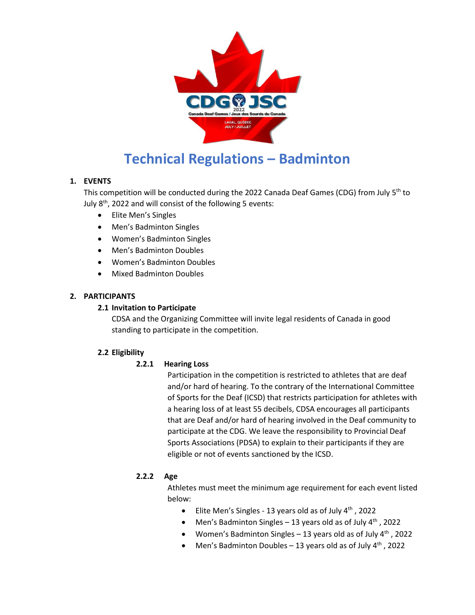

# **Technical Regulations – Badminton**

# **1. EVENTS**

This competition will be conducted during the 2022 Canada Deaf Games (CDG) from July 5<sup>th</sup> to July  $8<sup>th</sup>$ , 2022 and will consist of the following 5 events:

- Elite Men's Singles
- Men's Badminton Singles
- Women's Badminton Singles
- Men's Badminton Doubles
- Women's Badminton Doubles
- Mixed Badminton Doubles

# **2. PARTICIPANTS**

## **2.1 Invitation to Participate**

CDSA and the Organizing Committee will invite legal residents of Canada in good standing to participate in the competition.

## **2.2 Eligibility**

## **2.2.1 Hearing Loss**

Participation in the competition is restricted to athletes that are deaf and/or hard of hearing. To the contrary of the International Committee of Sports for the Deaf (ICSD) that restricts participation for athletes with a hearing loss of at least 55 decibels, CDSA encourages all participants that are Deaf and/or hard of hearing involved in the Deaf community to participate at the CDG. We leave the responsibility to Provincial Deaf Sports Associations (PDSA) to explain to their participants if they are eligible or not of events sanctioned by the ICSD.

## **2.2.2 Age**

Athletes must meet the minimum age requirement for each event listed below:

- Elite Men's Singles 13 years old as of July  $4<sup>th</sup>$ , 2022
- Men's Badminton Singles 13 years old as of July  $4<sup>th</sup>$ , 2022
- Women's Badminton Singles 13 years old as of July  $4<sup>th</sup>$ , 2022
- Men's Badminton Doubles 13 years old as of July  $4<sup>th</sup>$ , 2022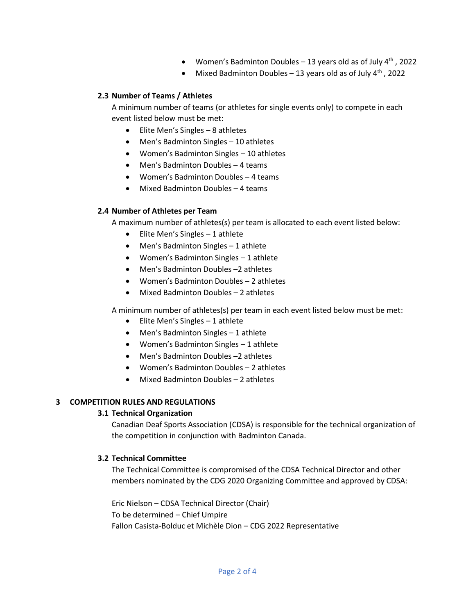- Women's Badminton Doubles 13 years old as of July  $4<sup>th</sup>$ , 2022
- Mixed Badminton Doubles 13 years old as of July  $4<sup>th</sup>$ , 2022

## **2.3 Number of Teams / Athletes**

A minimum number of teams (or athletes for single events only) to compete in each event listed below must be met:

- Elite Men's Singles 8 athletes
- Men's Badminton Singles 10 athletes
- Women's Badminton Singles 10 athletes
- Men's Badminton Doubles 4 teams
- Women's Badminton Doubles 4 teams
- Mixed Badminton Doubles 4 teams

### **2.4 Number of Athletes per Team**

A maximum number of athletes(s) per team is allocated to each event listed below:

- Elite Men's Singles 1 athlete
- Men's Badminton Singles 1 athlete
- Women's Badminton Singles 1 athlete
- Men's Badminton Doubles –2 athletes
- Women's Badminton Doubles 2 athletes
- Mixed Badminton Doubles 2 athletes

A minimum number of athletes(s) per team in each event listed below must be met:

- $\bullet$  Elite Men's Singles 1 athlete
- Men's Badminton Singles 1 athlete
- Women's Badminton Singles 1 athlete
- Men's Badminton Doubles –2 athletes
- Women's Badminton Doubles 2 athletes
- Mixed Badminton Doubles 2 athletes

## **3 COMPETITION RULES AND REGULATIONS**

#### **3.1 Technical Organization**

Canadian Deaf Sports Association (CDSA) is responsible for the technical organization of the competition in conjunction with Badminton Canada.

#### **3.2 Technical Committee**

The Technical Committee is compromised of the CDSA Technical Director and other members nominated by the CDG 2020 Organizing Committee and approved by CDSA:

Eric Nielson – CDSA Technical Director (Chair) To be determined – Chief Umpire Fallon Casista-Bolduc et Michèle Dion – CDG 2022 Representative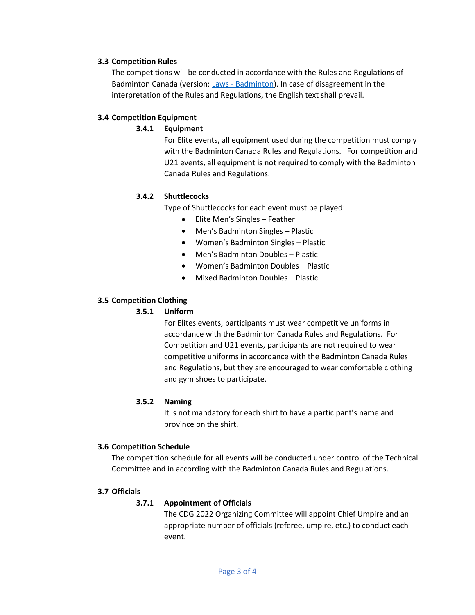#### **3.3 Competition Rules**

The competitions will be conducted in accordance with the Rules and Regulations of Badminton Canada (version: Laws - [Badminton\)](http://badmintoncanada.visualclubweb.nl/file/597573/?dl=1). In case of disagreement in the interpretation of the Rules and Regulations, the English text shall prevail.

### **3.4 Competition Equipment**

## **3.4.1 Equipment**

For Elite events, all equipment used during the competition must comply with the Badminton Canada Rules and Regulations. For competition and U21 events, all equipment is not required to comply with the Badminton Canada Rules and Regulations.

### **3.4.2 Shuttlecocks**

Type of Shuttlecocks for each event must be played:

- Elite Men's Singles Feather
- Men's Badminton Singles Plastic
- Women's Badminton Singles Plastic
- Men's Badminton Doubles Plastic
- Women's Badminton Doubles Plastic
- Mixed Badminton Doubles Plastic

### **3.5 Competition Clothing**

## **3.5.1 Uniform**

For Elites events, participants must wear competitive uniforms in accordance with the Badminton Canada Rules and Regulations. For Competition and U21 events, participants are not required to wear competitive uniforms in accordance with the Badminton Canada Rules and Regulations, but they are encouraged to wear comfortable clothing and gym shoes to participate.

#### **3.5.2 Naming**

It is not mandatory for each shirt to have a participant's name and province on the shirt.

#### **3.6 Competition Schedule**

The competition schedule for all events will be conducted under control of the Technical Committee and in according with the Badminton Canada Rules and Regulations.

#### **3.7 Officials**

## **3.7.1 Appointment of Officials**

The CDG 2022 Organizing Committee will appoint Chief Umpire and an appropriate number of officials (referee, umpire, etc.) to conduct each event.